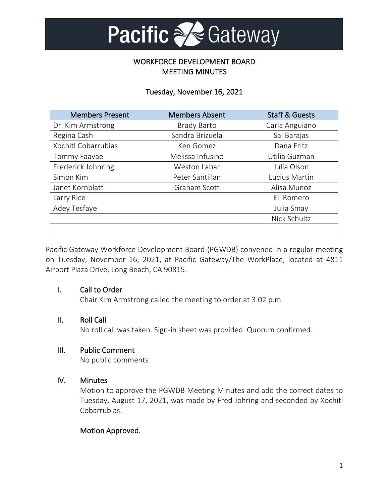# Pacific a  $\triangle$  Gateway

# WORKFORCE DEVELOPMENT BOARD MEETING MINUTES

# Tuesday, November 16, 2021

| <b>Members Present</b> | <b>Members Absent</b> | <b>Staff &amp; Guests</b> |
|------------------------|-----------------------|---------------------------|
| Dr. Kim Armstrong      | <b>Brady Barto</b>    | Carla Anguiano            |
| Regina Cash            | Sandra Brizuela       | Sal Barajas               |
| Xochitl Cobarrubias    | Ken Gomez             | Dana Fritz                |
| Tommy Faavae           | Melissa Infusino      | Utilia Guzman             |
| Frederick Johnring     | Weston Labar          | Julia Olson               |
| Simon Kim              | Peter Santillan       | Lucius Martin             |
| Janet Kornblatt        | Graham Scott          | Alisa Munoz               |
| Larry Rice             |                       | Eli Romero                |
| Adey Tesfaye           |                       | Julia Smay                |
|                        |                       | Nick Schultz              |
|                        |                       |                           |

Pacific Gateway Workforce Development Board (PGWDB) convened in a regular meeting on Tuesday, November 16, 2021, at Pacific Gateway/The WorkPlace, located at 4811 Airport Plaza Drive, Long Beach, CA 90815.

# I. Call to Order

Chair Kim Armstrong called the meeting to order at 3:02 p.m.

# II. Roll Call

No roll call was taken. Sign-in sheet was provided. Quorum confirmed.

# III. Public Comment

No public comments

# IV. Minutes

Motion to approve the PGWDB Meeting Minutes and add the correct dates to Tuesday, August 17, 2021, was made by Fred Johring and seconded by Xochitl Cobarrubias.

# Motion Approved.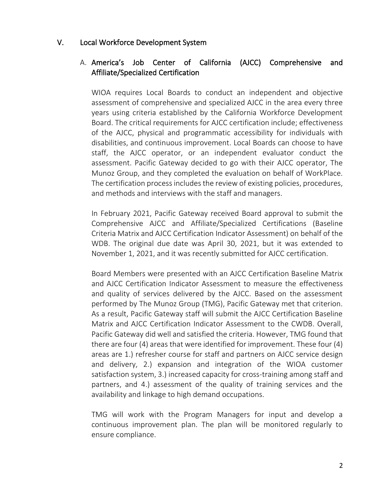# V. Local Workforce Development System

# A. America's Job Center of California (AJCC) Comprehensive and Affiliate/Specialized Certification

WIOA requires Local Boards to conduct an independent and objective assessment of comprehensive and specialized AJCC in the area every three years using criteria established by the California Workforce Development Board. The critical requirements for AJCC certification include; effectiveness of the AJCC, physical and programmatic accessibility for individuals with disabilities, and continuous improvement. Local Boards can choose to have staff, the AJCC operator, or an independent evaluator conduct the assessment. Pacific Gateway decided to go with their AJCC operator, The Munoz Group, and they completed the evaluation on behalf of WorkPlace. The certification process includes the review of existing policies, procedures, and methods and interviews with the staff and managers.

In February 2021, Pacific Gateway received Board approval to submit the Comprehensive AJCC and Affiliate/Specialized Certifications (Baseline Criteria Matrix and AJCC Certification Indicator Assessment) on behalf of the WDB. The original due date was April 30, 2021, but it was extended to November 1, 2021, and it was recently submitted for AJCC certification.

Board Members were presented with an AJCC Certification Baseline Matrix and AJCC Certification Indicator Assessment to measure the effectiveness and quality of services delivered by the AJCC. Based on the assessment performed by The Munoz Group (TMG), Pacific Gateway met that criterion. As a result, Pacific Gateway staff will submit the AJCC Certification Baseline Matrix and AJCC Certification Indicator Assessment to the CWDB. Overall, Pacific Gateway did well and satisfied the criteria. However, TMG found that there are four (4) areas that were identified for improvement. These four (4) areas are 1.) refresher course for staff and partners on AJCC service design and delivery, 2.) expansion and integration of the WIOA customer satisfaction system, 3.) increased capacity for cross-training among staff and partners, and 4.) assessment of the quality of training services and the availability and linkage to high demand occupations.

TMG will work with the Program Managers for input and develop a continuous improvement plan. The plan will be monitored regularly to ensure compliance.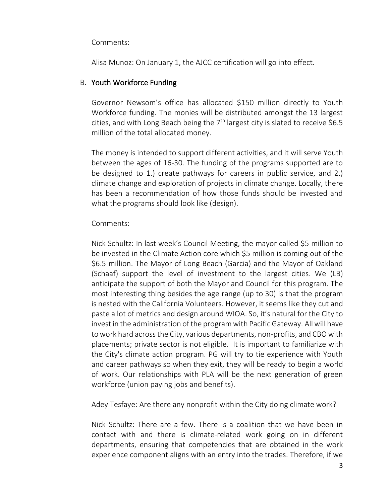#### Comments:

Alisa Munoz: On January 1, the AJCC certification will go into effect.

# B. Youth Workforce Funding

Governor Newsom's office has allocated \$150 million directly to Youth Workforce funding. The monies will be distributed amongst the 13 largest cities, and with Long Beach being the  $7<sup>th</sup>$  largest city is slated to receive \$6.5 million of the total allocated money.

The money is intended to support different activities, and it will serve Youth between the ages of 16-30. The funding of the programs supported are to be designed to 1.) create pathways for careers in public service, and 2.) climate change and exploration of projects in climate change. Locally, there has been a recommendation of how those funds should be invested and what the programs should look like (design).

#### Comments:

Nick Schultz: In last week's Council Meeting, the mayor called \$5 million to be invested in the Climate Action core which \$5 million is coming out of the \$6.5 million. The Mayor of Long Beach (Garcia) and the Mayor of Oakland (Schaaf) support the level of investment to the largest cities. We (LB) anticipate the support of both the Mayor and Council for this program. The most interesting thing besides the age range (up to 30) is that the program is nested with the California Volunteers. However, it seems like they cut and paste a lot of metrics and design around WIOA. So, it's natural for the City to invest in the administration of the program with Pacific Gateway. All will have to work hard across the City, various departments, non-profits, and CBO with placements; private sector is not eligible. It is important to familiarize with the City's climate action program. PG will try to tie experience with Youth and career pathways so when they exit, they will be ready to begin a world of work. Our relationships with PLA will be the next generation of green workforce (union paying jobs and benefits).

Adey Tesfaye: Are there any nonprofit within the City doing climate work?

Nick Schultz: There are a few. There is a coalition that we have been in contact with and there is climate-related work going on in different departments, ensuring that competencies that are obtained in the work experience component aligns with an entry into the trades. Therefore, if we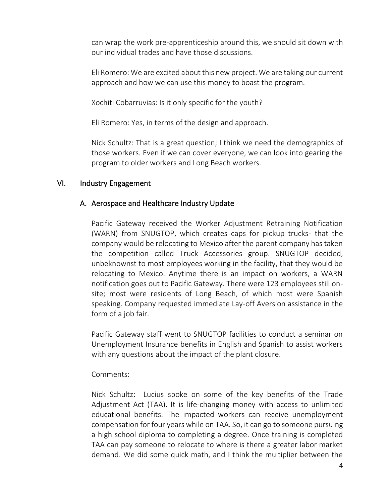can wrap the work pre-apprenticeship around this, we should sit down with our individual trades and have those discussions.

Eli Romero: We are excited about this new project. We are taking our current approach and how we can use this money to boast the program.

Xochitl Cobarruvias: Is it only specific for the youth?

Eli Romero: Yes, in terms of the design and approach.

Nick Schultz: That is a great question; I think we need the demographics of those workers. Even if we can cover everyone, we can look into gearing the program to older workers and Long Beach workers.

# VI. Industry Engagement

# A. Aerospace and Healthcare Industry Update

Pacific Gateway received the Worker Adjustment Retraining Notification (WARN) from SNUGTOP, which creates caps for pickup trucks- that the company would be relocating to Mexico after the parent company has taken the competition called Truck Accessories group. SNUGTOP decided, unbeknownst to most employees working in the facility, that they would be relocating to Mexico. Anytime there is an impact on workers, a WARN notification goes out to Pacific Gateway. There were 123 employees still onsite; most were residents of Long Beach, of which most were Spanish speaking. Company requested immediate Lay-off Aversion assistance in the form of a job fair.

Pacific Gateway staff went to SNUGTOP facilities to conduct a seminar on Unemployment Insurance benefits in English and Spanish to assist workers with any questions about the impact of the plant closure.

#### Comments:

Nick Schultz: Lucius spoke on some of the key benefits of the Trade Adjustment Act (TAA). It is life-changing money with access to unlimited educational benefits. The impacted workers can receive unemployment compensation for four years while on TAA. So, it can go to someone pursuing a high school diploma to completing a degree. Once training is completed TAA can pay someone to relocate to where is there a greater labor market demand. We did some quick math, and I think the multiplier between the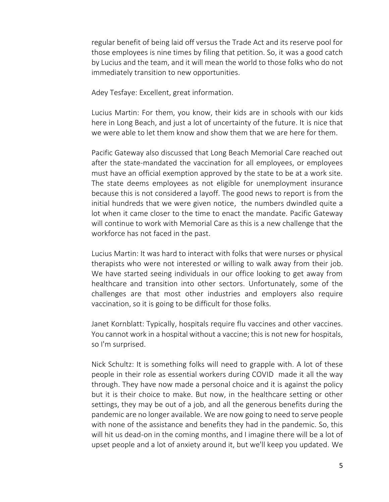regular benefit of being laid off versus the Trade Act and its reserve pool for those employees is nine times by filing that petition. So, it was a good catch by Lucius and the team, and it will mean the world to those folks who do not immediately transition to new opportunities.

Adey Tesfaye: Excellent, great information.

Lucius Martin: For them, you know, their kids are in schools with our kids here in Long Beach, and just a lot of uncertainty of the future. It is nice that we were able to let them know and show them that we are here for them.

Pacific Gateway also discussed that Long Beach Memorial Care reached out after the state-mandated the vaccination for all employees, or employees must have an official exemption approved by the state to be at a work site. The state deems employees as not eligible for unemployment insurance because this is not considered a layoff. The good news to report is from the initial hundreds that we were given notice, the numbers dwindled quite a lot when it came closer to the time to enact the mandate. Pacific Gateway will continue to work with Memorial Care as this is a new challenge that the workforce has not faced in the past.

Lucius Martin: It was hard to interact with folks that were nurses or physical therapists who were not interested or willing to walk away from their job. We have started seeing individuals in our office looking to get away from healthcare and transition into other sectors. Unfortunately, some of the challenges are that most other industries and employers also require vaccination, so it is going to be difficult for those folks.

Janet Kornblatt: Typically, hospitals require flu vaccines and other vaccines. You cannot work in a hospital without a vaccine; this is not new for hospitals, so I'm surprised.

Nick Schultz: It is something folks will need to grapple with. A lot of these people in their role as essential workers during COVID made it all the way through. They have now made a personal choice and it is against the policy but it is their choice to make. But now, in the healthcare setting or other settings, they may be out of a job, and all the generous benefits during the pandemic are no longer available. We are now going to need to serve people with none of the assistance and benefits they had in the pandemic. So, this will hit us dead-on in the coming months, and I imagine there will be a lot of upset people and a lot of anxiety around it, but we'll keep you updated. We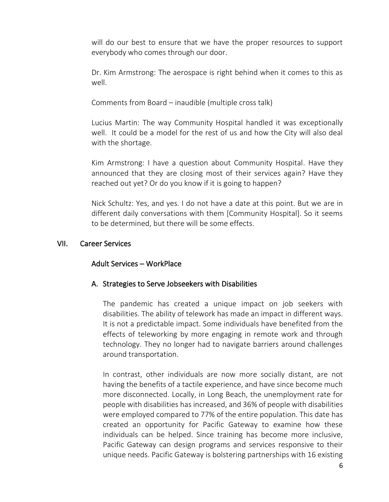will do our best to ensure that we have the proper resources to support everybody who comes through our door.

Dr. Kim Armstrong: The aerospace is right behind when it comes to this as well.

Comments from Board – inaudible (multiple cross talk)

Lucius Martin: The way Community Hospital handled it was exceptionally well. It could be a model for the rest of us and how the City will also deal with the shortage.

Kim Armstrong: I have a question about Community Hospital. Have they announced that they are closing most of their services again? Have they reached out yet? Or do you know if it is going to happen?

Nick Schultz: Yes, and yes. I do not have a date at this point. But we are in different daily conversations with them [Community Hospital]. So it seems to be determined, but there will be some effects.

#### VII. Career Services

# Adult Services – WorkPlace

# A. Strategies to Serve Jobseekers with Disabilities

The pandemic has created a unique impact on job seekers with disabilities. The ability of telework has made an impact in different ways. It is not a predictable impact. Some individuals have benefited from the effects of teleworking by more engaging in remote work and through technology. They no longer had to navigate barriers around challenges around transportation.

In contrast, other individuals are now more socially distant, are not having the benefits of a tactile experience, and have since become much more disconnected. Locally, in Long Beach, the unemployment rate for people with disabilities has increased, and 36% of people with disabilities were employed compared to 77% of the entire population. This date has created an opportunity for Pacific Gateway to examine how these individuals can be helped. Since training has become more inclusive, Pacific Gateway can design programs and services responsive to their unique needs. Pacific Gateway is bolstering partnerships with 16 existing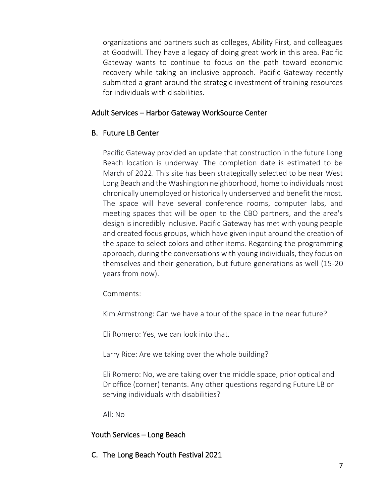organizations and partners such as colleges, Ability First, and colleagues at Goodwill. They have a legacy of doing great work in this area. Pacific Gateway wants to continue to focus on the path toward economic recovery while taking an inclusive approach. Pacific Gateway recently submitted a grant around the strategic investment of training resources for individuals with disabilities.

# Adult Services – Harbor Gateway WorkSource Center

# B. Future LB Center

Pacific Gateway provided an update that construction in the future Long Beach location is underway. The completion date is estimated to be March of 2022. This site has been strategically selected to be near West Long Beach and the Washington neighborhood, home to individuals most chronically unemployed or historically underserved and benefit the most. The space will have several conference rooms, computer labs, and meeting spaces that will be open to the CBO partners, and the area's design is incredibly inclusive. Pacific Gateway has met with young people and created focus groups, which have given input around the creation of the space to select colors and other items. Regarding the programming approach, during the conversations with young individuals, they focus on themselves and their generation, but future generations as well (15-20 years from now).

Comments:

Kim Armstrong: Can we have a tour of the space in the near future?

Eli Romero: Yes, we can look into that.

Larry Rice: Are we taking over the whole building?

Eli Romero: No, we are taking over the middle space, prior optical and Dr office (corner) tenants. Any other questions regarding Future LB or serving individuals with disabilities?

All: No

# Youth Services – Long Beach

C. The Long Beach Youth Festival 2021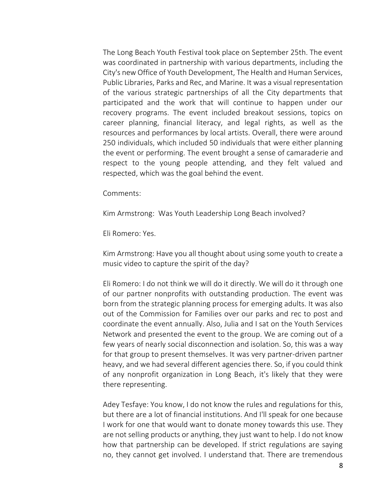The Long Beach Youth Festival took place on September 25th. The event was coordinated in partnership with various departments, including the City's new Office of Youth Development, The Health and Human Services, Public Libraries, Parks and Rec, and Marine. It was a visual representation of the various strategic partnerships of all the City departments that participated and the work that will continue to happen under our recovery programs. The event included breakout sessions, topics on career planning, financial literacy, and legal rights, as well as the resources and performances by local artists. Overall, there were around 250 individuals, which included 50 individuals that were either planning the event or performing. The event brought a sense of camaraderie and respect to the young people attending, and they felt valued and respected, which was the goal behind the event.

Comments:

Kim Armstrong: Was Youth Leadership Long Beach involved?

Eli Romero: Yes.

Kim Armstrong: Have you all thought about using some youth to create a music video to capture the spirit of the day?

Eli Romero: I do not think we will do it directly. We will do it through one of our partner nonprofits with outstanding production. The event was born from the strategic planning process for emerging adults. It was also out of the Commission for Families over our parks and rec to post and coordinate the event annually. Also, Julia and I sat on the Youth Services Network and presented the event to the group. We are coming out of a few years of nearly social disconnection and isolation. So, this was a way for that group to present themselves. It was very partner-driven partner heavy, and we had several different agencies there. So, if you could think of any nonprofit organization in Long Beach, it's likely that they were there representing.

Adey Tesfaye: You know, I do not know the rules and regulations for this, but there are a lot of financial institutions. And I'll speak for one because I work for one that would want to donate money towards this use. They are not selling products or anything, they just want to help. I do not know how that partnership can be developed. If strict regulations are saying no, they cannot get involved. I understand that. There are tremendous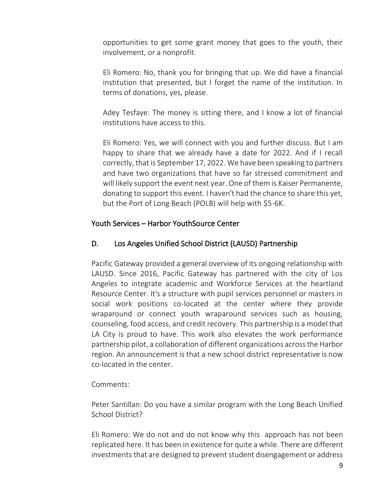opportunities to get some grant money that goes to the youth, their involvement, or a nonprofit.

Eli Romero: No, thank you for bringing that up. We did have a financial institution that presented, but I forget the name of the institution. In terms of donations, yes, please.

Adey Tesfaye: The money is sitting there, and I know a lot of financial institutions have access to this.

Eli Romero: Yes, we will connect with you and further discuss. But I am happy to share that we already have a date for 2022. And if I recall correctly, that is September 17, 2022. We have been speaking to partners and have two organizations that have so far stressed commitment and will likely support the event next year. One of them is Kaiser Permanente, donating to support this event. I haven't had the chance to share this yet, but the Port of Long Beach (POLB) will help with \$5-6K.

# Youth Services – Harbor YouthSource Center

# D. Los Angeles Unified School District (LAUSD) Partnership

Pacific Gateway provided a general overview of its ongoing relationship with LAUSD. Since 2016, Pacific Gateway has partnered with the city of Los Angeles to integrate academic and Workforce Services at the heartland Resource Center. It's a structure with pupil services personnel or masters in social work positions co-located at the center where they provide wraparound or connect youth wraparound services such as housing, counseling, food access, and credit recovery. This partnership is a model that LA City is proud to have. This work also elevates the work performance partnership pilot, a collaboration of different organizations across the Harbor region. An announcement is that a new school district representative is now co-located in the center.

# Comments:

Peter Santillan: Do you have a similar program with the Long Beach Unified School District?

Eli Romero: We do not and do not know why this approach has not been replicated here. It has been in existence for quite a while. There are different investments that are designed to prevent student disengagement or address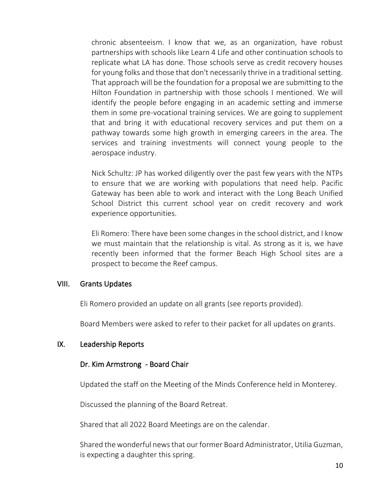chronic absenteeism. I know that we, as an organization, have robust partnerships with schools like Learn 4 Life and other continuation schools to replicate what LA has done. Those schools serve as credit recovery houses for young folks and those that don't necessarily thrive in a traditional setting. That approach will be the foundation for a proposal we are submitting to the Hilton Foundation in partnership with those schools I mentioned. We will identify the people before engaging in an academic setting and immerse them in some pre-vocational training services. We are going to supplement that and bring it with educational recovery services and put them on a pathway towards some high growth in emerging careers in the area. The services and training investments will connect young people to the aerospace industry.

Nick Schultz: JP has worked diligently over the past few years with the NTPs to ensure that we are working with populations that need help. Pacific Gateway has been able to work and interact with the Long Beach Unified School District this current school year on credit recovery and work experience opportunities.

Eli Romero: There have been some changes in the school district, and I know we must maintain that the relationship is vital. As strong as it is, we have recently been informed that the former Beach High School sites are a prospect to become the Reef campus.

#### VIII. Grants Updates

Eli Romero provided an update on all grants (see reports provided).

Board Members were asked to refer to their packet for all updates on grants.

#### IX. Leadership Reports

#### Dr. Kim Armstrong - Board Chair

Updated the staff on the Meeting of the Minds Conference held in Monterey.

Discussed the planning of the Board Retreat.

Shared that all 2022 Board Meetings are on the calendar.

Shared the wonderful news that our former Board Administrator, Utilia Guzman, is expecting a daughter this spring.